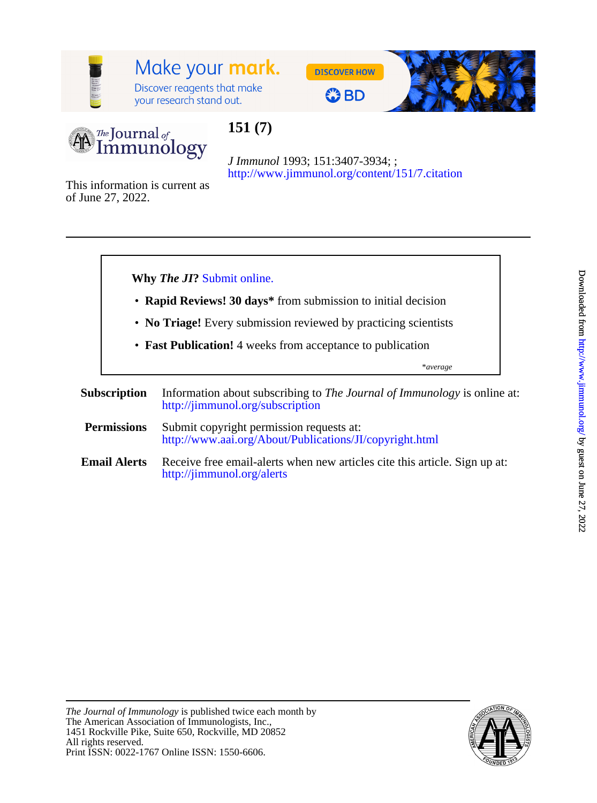

# Make your mark.

Discover reagents that make your research stand out.







## **151 (7)**

<http://www.jimmunol.org/content/151/7.citation> *J Immunol* 1993; 151:3407-3934; ;

of June 27, 2022. This information is current as



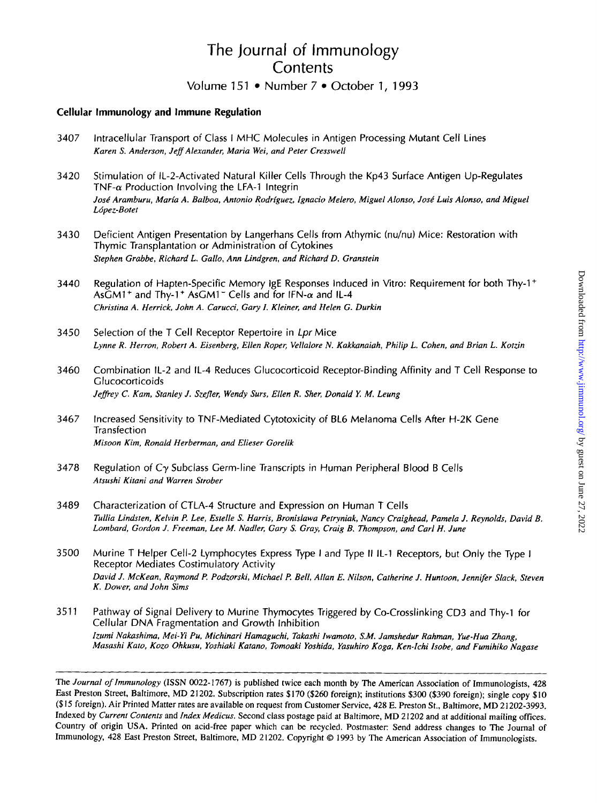### The Journal of Immunology **Contents** Volume 151 • Number 7 • October 1, 1993

#### **Cellular Immunology and Immune Regulation**

- 3407 Intracellular Transport of Class *I* MHC Molecules in Antigen Processing Mutant Cell Lines *Karen S. Anderson, Jeff Alexander, Maria Wei, and Peter Cresswell*
- 3420 Stimulation of IL-2-Activated Natural Killer Cells Through the Kp43 Surface Antigen Up-Regulates TNF- $\alpha$  Production Involving the LFA-1 Integrin José Aramburu, María A. Balboa, Antonio Rodríguez, Ignacio Melero, Miguel Alonso, José Luis Alonso, and Miguel *Ldpez-Botet*
- **3430**  Deficient Antigen Presentation by Langerhans Cells from Athymic (nu/nu) Mice: Restoration with Thymic Transplantation or Administration of Cytokines *Stephen Grabbe, Richard L. Gallo, Ann Lindgren, and Richard D. Granstein*
- 3440 Regulation of Hapten-Specific Memory IgE Responses Induced in Vitro: Requirement for both Thy-1 + AsGM1<sup>+</sup> and Thy-1<sup>+</sup> AsGM1<sup>-</sup> Cells and for IFN- $\alpha$  and IL-4 *Christina A. Herrick, John A. Carucci, Gary I. Kleiner, and Helen G. Durkin*
- 3450 Selection of the T Cell Receptor Repertoire in *Lpr* Mice *Lynne R. Herron, Robert A. Eisenberg, Ellen Roper, Vellalore N. Kakkanaiah, Philip L. Cohen, and Brian L. Kotzin*
- 3460 Combination IL-2 and IL-4 Reduces Glucocorticoid Receptor-Binding Affinity and T Cell Response to Glucocorticoids *Jeffrey C. Kam, Stanley J. Stefler, Wendy Surs, Ellen R. Sher, Donald Y. M. Leung*
- 3467 Increased Sensitivity to TNF-Mediated Cytotoxicity of BL6 Melanoma Cells After H-2K Gene Transfection *Misoon Kim, Ronald Herberman, and Elieser Gorelik*
- 3478 Regulation of Cy Subclass Germ-line Transcripts in Human Peripheral Blood B Cells *Atsushi Kitani and Warren Strober*
- 3489 Characterization of CTLA-4 Structure and Expression on Human **T** Cells *Tullia Lindsten, Kelvin P. Lee, Estelle* **S.** *Harris, Bronislawa Petryniak, Nancy Craighead, Pamela J. Reynolds, David B. Lombard, Gordon J. Freeman, Lee M. Nadler, Gary S. Gray, Craig B. Thompson, and Carl H. June*
- 3500 Murine T Helper Cell-2 Lymphocytes Express Type **I** and Type II IL-1 Receptors, but Only the Type *<sup>I</sup>* Receptor Mediates Costimulatory Activity *David J. McKean, Raymond P. Podzorski, Michael P. Bell, AIlan E. Nilson, Catherine J. Hunfoon, Jennifer Slack, Steven K. Dower, and John Sims*
- 3511 Pathway of Signal Delivery to Murine Thymocytes Triggered by Co-Crosslinking CD3 and Thy-1 for Cellular DNA Fragmentation and Growth Inhibition *Izumi Nakashima, Mei-Yi Pu, Michinari Hamaguchi, Takashi Iwamoto, S.M. Jamshedur Rahman, Yue-Hua Zhang, Masashi Kato, KOZO Ohkusu, Yoshiaki Katano, Tomoaki Yoshida, Yasuhiro Koga, Ken-[& Isobe, and Fumihiko Nagase*

**The** *Journal of Immunology* **(ISSN 0022-** *1767)* **is published twice each month by The American Association of Immunologists, 428 East Preston Street, Baltimore, MD 21202. Subscription rates** \$170 **(\$260 foreign); institutions \$300 (\$390 foreign); single copy \$10 (\$15 foreign). Air Printed Matter rates are available on request from Customer Service, 428 E. Preston St., Baltimore, MD 21202-3993. Indexed by** *Current Contents* **and** *Index Medicus.* **Second class postage paid at Baltimore, MD 21202 and at additional mailing offices. Country of origin USA. Printed** on **acid-free paper which can be recycled. Postmaster: Send address changes to The Journal of Immunology, 428 East Preston Street, Baltimore, MD 21202. Copyright** *0* **1993 by The American Association** of **Immunologists.**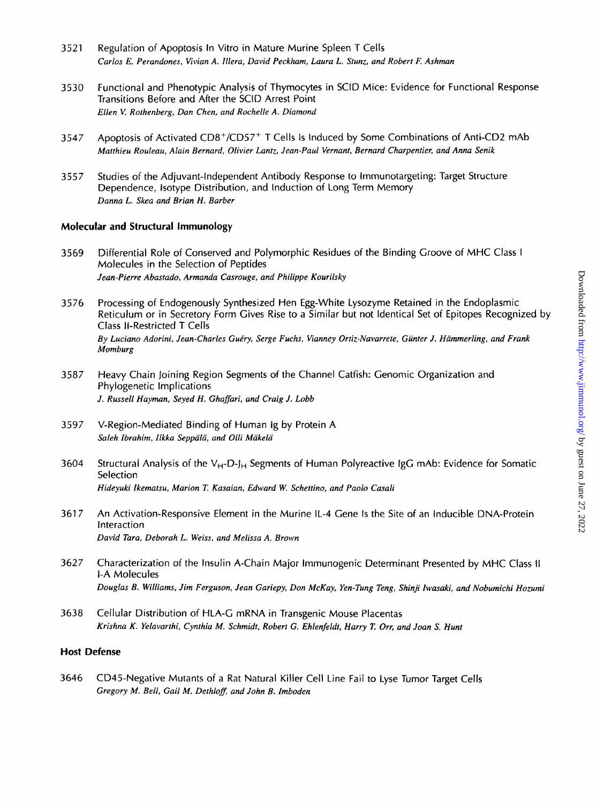- 3521 Regulation of Apoptosis In Vitro in Mature Murine Spleen T Cells *Carlos E. Perandones, Vivian A. Iilera, David Peckham, Laura L. Stunz, and Robert E Ashman*
- 3530 Functional and Phenotypic Analysis of Thymocytes in SClD Mice: Evidence for Functional Response Transitions Before and After the SClD Arrest Point *Ellen* **V.** *Rothenberg, Dan Chen, and Rochelle A. Diamond*
- 3547 Apoptosis of Activated CD8+/CD57+ T Cells Is Induced by Some Combinations of Anti-CD2 mAb *Matthieu Rouleau, Alain Bernard, Olivier Lantz, Jean-Paul Vernant, Bernard Charpentier, and Anna Senik*
- 3557 Studies of the Adjuvant-Independent Antibody Response to Immunotargeting: Target Structure Dependence, lsotype Distribution, and Induction of Long Term Memory *Danna L. Skea and Brian H. Barber*

#### **Molecular and Structural immunology**

- 3569 Differential Role of Conserved and Polymorphic Residues of the Binding Groove of MHC Class **<sup>I</sup>** Molecules in the Selection of Peptides *Jean-Pierre Abastado, Armanda Casrouge, and Philippe Kourilsky*
- 3576 Processing of Endogenously Synthesized Hen Egg-White Lysozyme Retained in the Endoplasmic Reticulum or in Secretory Form Gives Rise to a Similar but not Identical Set of Epitopes Recognized by Class Il-Restricted T Cells *By Luciano Adorini, Jean-Charles Gue'ry, Serge Fuchs, Vianney Ortiz-Navarrete, Giinter J. Hammerling, and Frank Momburg*
- 3587 Heavy Chain Joining Region Segments of the Channel Catfish: Genomic Organization and Phylogenetic Implications *J. Russell Hayman, Seyed H. Ghaffari, and Craig J. Lobb*
- 3597 V-Region-Mediated Binding of Human Ig by Protein A *Saleh Ibrahim, Ilkka Seppala, and Olli Makela*
- 3604 Structural Analysis of the  $V_{H}$ -D-J<sub>H</sub> Segments of Human Polyreactive IgG mAb: Evidence for Somatic Selection *Hideyuki Ikematsu, Marion T. Kasaian, Edward W. Schettino, and Paolo Casali*
- 3617 An Activation-Responsive Element in the Murine IL-4 Gene Is the Site of an Inducible DNA-Protein Interaction *David Tara, Deborah L. Weiss, and Melissa A. Brown*
- 3627 Characterization of the Insulin A-Chain Major Immunogenic Determinant Presented by MHC Class I1 I-A Molecules *Douglas B. Williams, Jim Ferguson, Jean Gariepy, Don McKay, Yen-Tung Teng, Shinji hasaki, and Nobumichi Hozumi*
- 3638 Cellular Distribution of HLA-G mRNA in Transgenic Mouse Placentas *Krishna K. Yelavarthi, Cynthia M. Schmidt, Robert G. Ehlenfeldt, Harry T. Orr, and Joan S. Hunt*

#### **Host Defense**

3646 CD45-Negative Mutants of a Rat Natural Killer Cell Line Fail to Lyse Tumor Target Cells *Gregory M. Bell, Gail M. Dethloff, and John B. Imboden*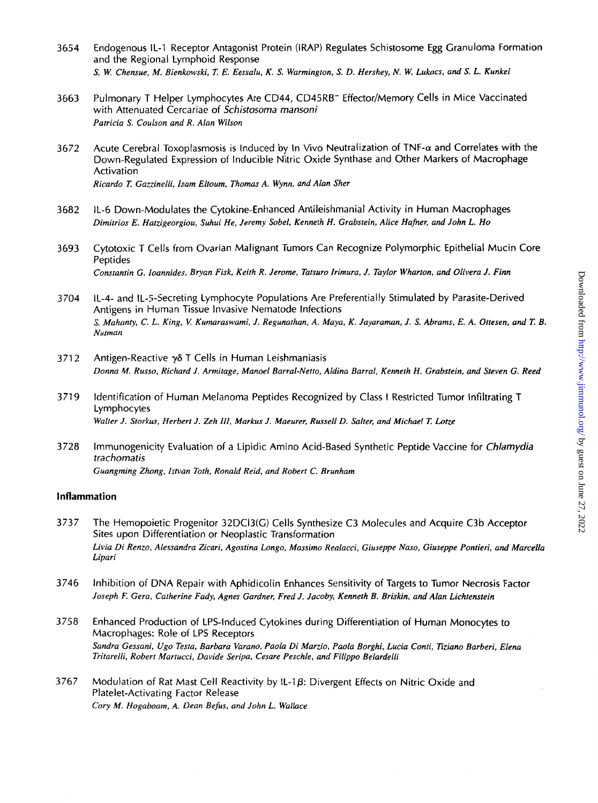- 3654 Endogenous IL-1 Receptor Antagonist Protein (IRAP) Regulates Schistosome Egg Granuloma Formation and the Regional Lymphoid Response *S. W. Chensue, M. Bienkowski,* Z *E. Eessalu, K.* **S.** *Warmington,* **S.** *D. Hershey, N. W. Lukacs, and* **S.** *L. Kunkel*
- 3663 Pulmonary T Helper Lymphocytes Are CD44, CD45RB- Effector/Memory Cells in Mice Vaccinated with Attenuated Cercariae of *Schistosoma mansoni Patricia* **S.** *Coulson and R. Alan Wilson*
- 3672 Acute Cerebral Toxoplasmosis is Induced by In Vivo Neutralization of TNF- $\alpha$  and Correlates with the Down-Regulated Expression of Inducible Nitric Oxide Synthase and Other Markers of Macrophage Activation *Ricardo* Z *Gauinelli, Isam Eltoum, Thomas A. Wynn, and Alan Sher*
- 3682 IL-6 Down-Modulates the Cytokine-Enhanced Antileishmanial Activity in Human Macrophages *Dimitrios E. Hatzigeorgiou, Suhui He, Jeremy Sobel, Kenneth H. Grabstein, Alice Hafner, and John L. Ho*
- 3693 Cytotoxic T Cells from Ovarian Malignant Tumors Can Recognize Polymorphic Epithelial Mucin Core Peptides *Constantin G. loannides, Bryan Fisk, Keith R. Jerome, Tatsuro Irimura, J. Taylor Wharton, and Olivera J. Finn*
- 3 704 IL-4- and IL-5-Secreting Lymphocyte Populations Are Preferentially Stimulated by Parasite-Derived Antigens in Human Tissue Invasive Nematode Infections **S.** *Mahanty,* C. *L. King, V Kumaraswami, J. Regunathan, A. Maya, K. Jayaraman, J.* **S,** *Abrams, E. A. Ottesen, and T. B. Nutrnan*
- 3712 Antigen-Reactive *y6* T Cells in Human Leishmaniasis *Donna M. Russo, Richard J. Armitage, Manoel Barral-Netto, Aldina Barral, Kenneth H. Grabstein, and Steven G. Reed*
- 371 *9*  Identification of Human Melanoma Peptides Recognized by Class I Restricted Tumor Infiltrating T Lymphocytes *Walter J. Storkus, Herbert J. Zeh III, Markus J. Maeurer, Russell D. Salter, and Michael T. Lotze*
- 3728 Immunogenicity Evaluation of a Lipidic Amino Acid-Based Synthetic Peptide Vaccine for *Chlamydia trachoma tis Guangrning Zhong, Istvan Toth, Ronald Reid, and Robert C. Brunham*

#### **inflammation**

- 3737 The Hemopoietic Progenitor 32DC13(G) Cells Synthesize C3 Molecules and Acquire C3b Acceptor Sites upon Differentiation or Neoplastic Transformation *Livia Di Renzo, Alessandra Zicari, Agostina Longo, Massimo Realacci, Giuseppe Naso, Giuseppe Pontieri, and Marcella Lipari*
- 3 746 Inhibition of DNA Repair with Aphidicolin Enhances Sensitivity of Targets to Tumor Necrosis Factor *Joseph F. Gera, Catherine Fady, Agnes Gardner, Fred J. Jacoby, Kenneth B. Briskin, and Alan Lichtenstein*
- 3758 Enhanced Production of LPS-induced Cytokines during Differentiation **of** Human Monocytes **to**  Macrophages: Role of LPS Receptors *Sandra Gessani, Ugo Testa, Barbara Varano, Paola Di Marzio, Paola Borghi, Lucia Conti, Eziano Barberi, Elena Tritarelli, Robert Martucci, Davide Seripa, Cesare Peschle, and Filippo Belardelli*
- 3767 Modulation of Rat Mast Cell Reactivity by **IL-lp:** Divergent Effects on Nitric Oxide and Platelet-Activating Factor Release *Cory M. Hogaboam, A. Dean Befirs, and John L. Wallace*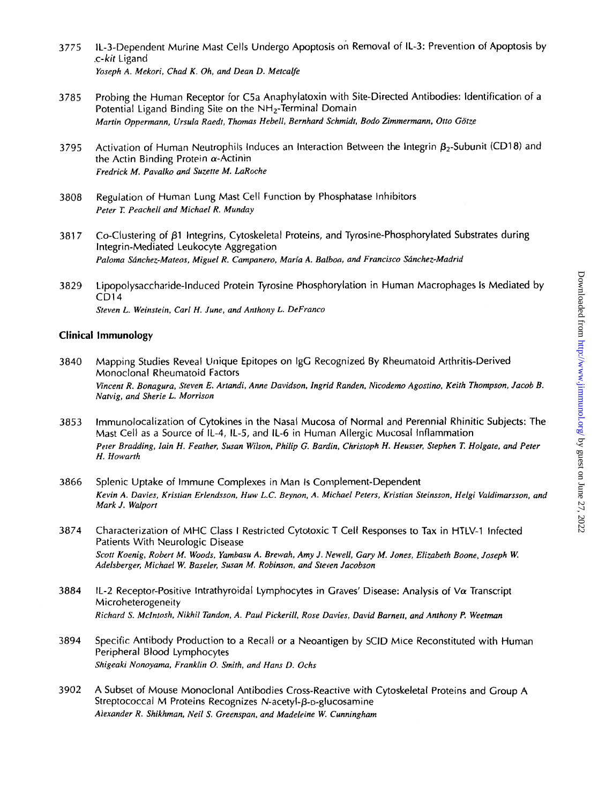- 3775 IL-3-Dependent Murine Mast Cells Undergo Apoptosis **on** Removal of IL-3: Prevention of Apoptosis by .c-kit Ligand *Yoseph A. Mekori, Chad K. Oh, and Dean D. Metcalfe*
- 3785 Probing the Human Receptor for C5a Anaphylatoxin with Site-Directed Antibodies: Identification of a Potential Ligand Binding Site on the NH<sub>2</sub>-Terminal Domain *Martin Oppermann, Ursula Raedt, Thomas Hebell, Bernhard Schmidt, Bodo Zimmermann, Otto Gotze*
- 3795 Activation of Human Neutrophils Induces an Interaction Between the Integrin  $\beta_2$ -Subunit (CD18) and the Actin Binding Protein  $\alpha$ -Actinin *Fredrick M. Pavalko and Suzette M. LaRoche*
- 3808 Regulation of Human Lung Mast Cell Function by Phosphatase Inhibitors *Peter T. Peachell and Michael R. Munday*
- 381 7 Co-Clustering of  $\beta$ 1 Integrins, Cytoskeletal Proteins, and Tyrosine-Phosphorylated Substrates during Integrin-Mediated Leukocyte Aggregation Paloma Sánchez-Mateos, Miguel R. Campanero, María A. Balboa, and Francisco Sánchez-Madrid
- 3829 Lipopolysaccharide-Induced Protein Tyrosine Phosphorylation in Human Macrophages Is Mediated by CD14 *Steven L. Weinstein. Carl H. June, and Anthony L. DeFranco*

#### **Clinical Immunology**

- 3840 Mapping Studies Reveal Unique Epitopes on IgG Recognized By Rheumatoid Arthritis-Derived Monoclonal Rheumatoid Factors *Vincent R. Bonagura, Steven E. Artandi, Anne Davidson, Ingrid Randen, Nicodemo Agostino, Keith Thompson, Jacob B. Natvig, and Sherie L. Morrison*
- 3853 lmmunolocalization of Cytokines in the Nasal Mucosa of Normal and Perennial Rhinitic Subjects: The Mast Cell as a Source of IL-4, IL-5, and IL-6 in Human Allergic Mucosal Inflammation *Peter Bradding, lain H. Feather, Susan Wilson, Philip G. Bardin, Christoph H. Heusser, Stephen T. Holgate, and Peter H. Howarth*
- 3866 Splenic Uptake of Immune Complexes in Man **Is** Complement-Dependent *Kevin A. Davies, Kristian Erlendsson, Huw L.C. Beynon, A. Michael Peters, Kristian Steinsson, Helgi Valdimarsson, and Mark J. Walport*
- 3874 Characterization of MHC Class I Restricted Cytotoxic T Cell Responses to Tax in HTLV-1 Infected Patients With Neurologic Disease *Scott Koenig, Robert M. Woods, Yambasu A. Brewah, Amy J. Newell, Gary M. Jones, Elizabeth Boone, Joseph W. Adelsberger, Michael W. Baseler, Susan M. Robinson, and Steven Jacobson*
- 3884 IL-2 Receptor-Positive Intrathyroidal Lymphocytes in Graves' Disease: Analysis of V $\alpha$  Transcript Microheterogeneity *Richard* **S.** *McIntosh, Nikhil Tandon, A. Paul Pickerill, Rose Davies, David Barnett, and Anthony P. Weetmn*
- 3894 Specific Antibody Production to a Recall or a Neoantigen by SCID Mice Reconstituted with Human Peripheral Blood Lymphocytes *Shigeaki Nonoyam, Franklin 0. Smith, and Hans D. Ochs*
- 3902 A Subset of Mouse Monoclonal Antibodies Cross-Reactive with Cytoskeletal Proteins and Group A Streptococcal M Proteins Recognizes  $N$ -acetyl- $\beta$ -D-glucosamine *Alexander R. Shikhman, Neil* **S.** *Greenspan, and Madeleine W. Cunningham*